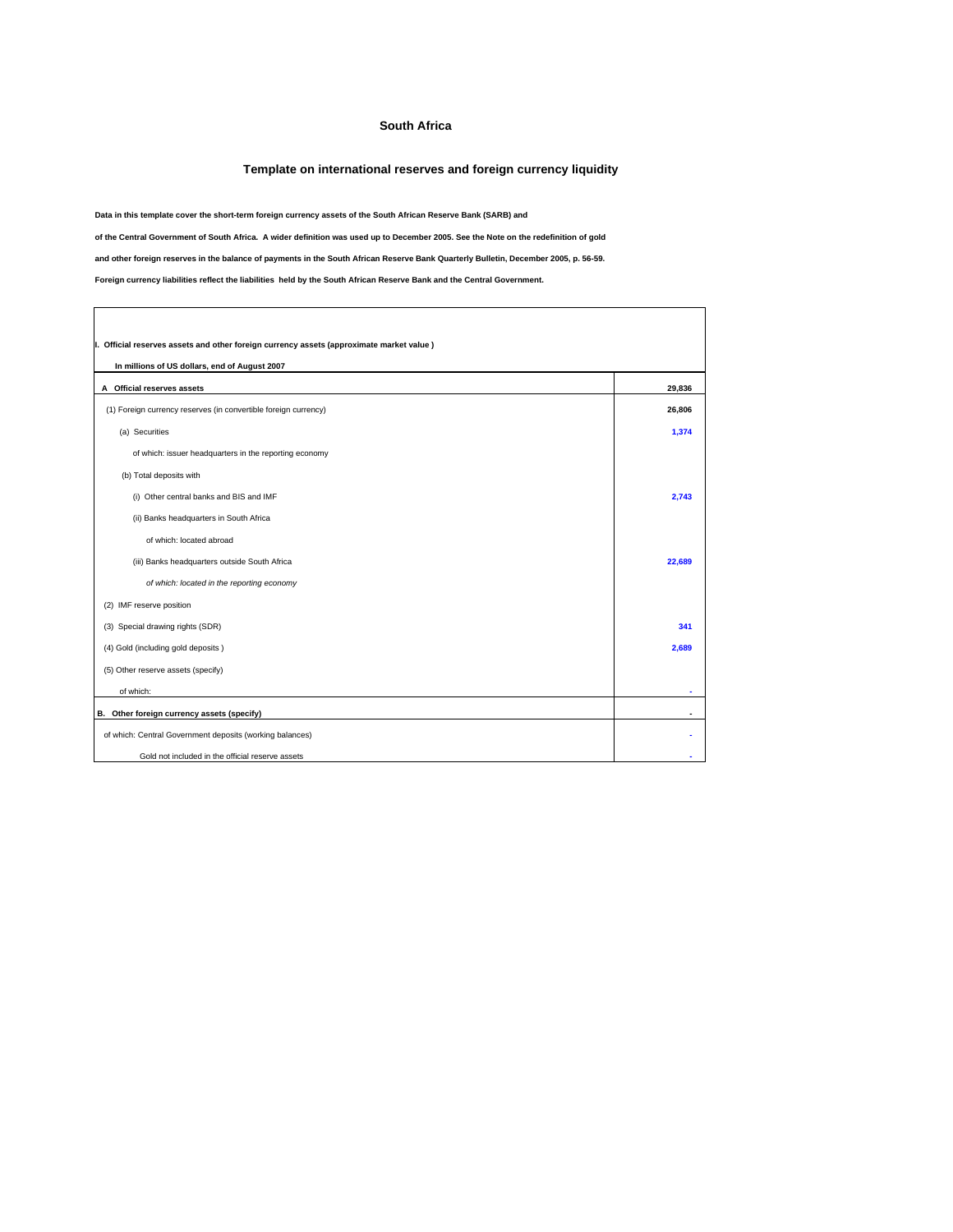## **South Africa**

## **Template on international reserves and foreign currency liquidity**

٦

**Data in this template cover the short-term foreign currency assets of the South African Reserve Bank (SARB) and**

**of the Central Government of South Africa. A wider definition was used up to December 2005. See the Note on the redefinition of gold**

**and other foreign reserves in the balance of payments in the South African Reserve Bank Quarterly Bulletin, December 2005, p. 56-59.**

**Foreign currency liabilities reflect the liabilities held by the South African Reserve Bank and the Central Government.**

 $\overline{\Gamma}$ 

| I. Official reserves assets and other foreign currency assets (approximate market value)<br>In millions of US dollars, end of August 2007 |        |  |  |
|-------------------------------------------------------------------------------------------------------------------------------------------|--------|--|--|
| A Official reserves assets                                                                                                                | 29.836 |  |  |
| (1) Foreign currency reserves (in convertible foreign currency)                                                                           | 26,806 |  |  |
| (a) Securities                                                                                                                            | 1,374  |  |  |
| of which: issuer headquarters in the reporting economy                                                                                    |        |  |  |
| (b) Total deposits with                                                                                                                   |        |  |  |
| (i) Other central banks and BIS and IMF                                                                                                   | 2.743  |  |  |
| (ii) Banks headquarters in South Africa                                                                                                   |        |  |  |
| of which: located abroad                                                                                                                  |        |  |  |
| (iii) Banks headquarters outside South Africa                                                                                             | 22,689 |  |  |
| of which: located in the reporting economy                                                                                                |        |  |  |
| (2) IMF reserve position                                                                                                                  |        |  |  |
| (3) Special drawing rights (SDR)                                                                                                          | 341    |  |  |
| (4) Gold (including gold deposits)                                                                                                        | 2,689  |  |  |
| (5) Other reserve assets (specify)                                                                                                        |        |  |  |
| of which:                                                                                                                                 |        |  |  |
| B. Other foreign currency assets (specify)                                                                                                |        |  |  |
| of which: Central Government deposits (working balances)                                                                                  |        |  |  |
| Gold not included in the official reserve assets                                                                                          |        |  |  |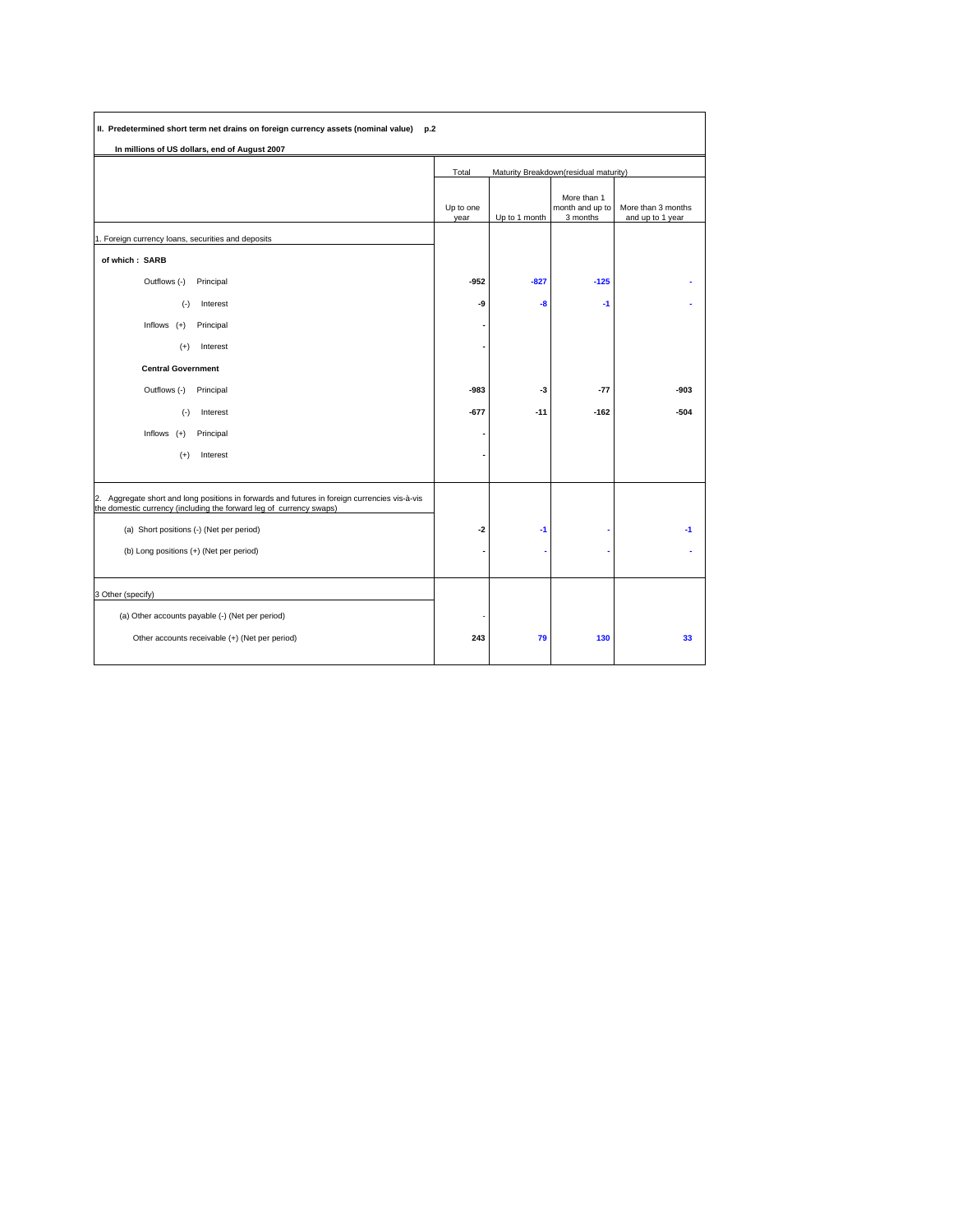| II. Predetermined short term net drains on foreign currency assets (nominal value) p.2                                                                               |                   |               |                                            |                                        |
|----------------------------------------------------------------------------------------------------------------------------------------------------------------------|-------------------|---------------|--------------------------------------------|----------------------------------------|
| In millions of US dollars, end of August 2007                                                                                                                        |                   |               |                                            |                                        |
|                                                                                                                                                                      | Total             |               | Maturity Breakdown(residual maturity)      |                                        |
|                                                                                                                                                                      | Up to one<br>year | Up to 1 month | More than 1<br>month and up to<br>3 months | More than 3 months<br>and up to 1 year |
| 1. Foreign currency loans, securities and deposits                                                                                                                   |                   |               |                                            |                                        |
| of which: SARB                                                                                                                                                       |                   |               |                                            |                                        |
| Outflows (-)<br>Principal                                                                                                                                            | -952              | $-827$        | $-125$                                     |                                        |
| $(-)$<br>Interest                                                                                                                                                    | -9                | -8            | $-1$                                       |                                        |
| Inflows $(+)$<br>Principal                                                                                                                                           |                   |               |                                            |                                        |
| Interest<br>$(+)$                                                                                                                                                    |                   |               |                                            |                                        |
| <b>Central Government</b>                                                                                                                                            |                   |               |                                            |                                        |
| Outflows (-)<br>Principal                                                                                                                                            | -983              | -3            | $-77$                                      | $-903$                                 |
| $(\cdot)$<br>Interest                                                                                                                                                | $-677$            | $-11$         | $-162$                                     | $-504$                                 |
| Inflows $(+)$<br>Principal                                                                                                                                           |                   |               |                                            |                                        |
| $(+)$<br>Interest                                                                                                                                                    |                   |               |                                            |                                        |
|                                                                                                                                                                      |                   |               |                                            |                                        |
| 2. Aggregate short and long positions in forwards and futures in foreign currencies vis-à-vis<br>the domestic currency (including the forward leg of currency swaps) |                   |               |                                            |                                        |
| (a) Short positions (-) (Net per period)                                                                                                                             | $-2$              | -1            |                                            | $-1$                                   |
| (b) Long positions (+) (Net per period)                                                                                                                              |                   |               |                                            |                                        |
|                                                                                                                                                                      |                   |               |                                            |                                        |
| 3 Other (specify)                                                                                                                                                    |                   |               |                                            |                                        |
| (a) Other accounts payable (-) (Net per period)                                                                                                                      |                   |               |                                            |                                        |
| Other accounts receivable (+) (Net per period)                                                                                                                       | 243               | 79            | 130                                        | 33                                     |
|                                                                                                                                                                      |                   |               |                                            |                                        |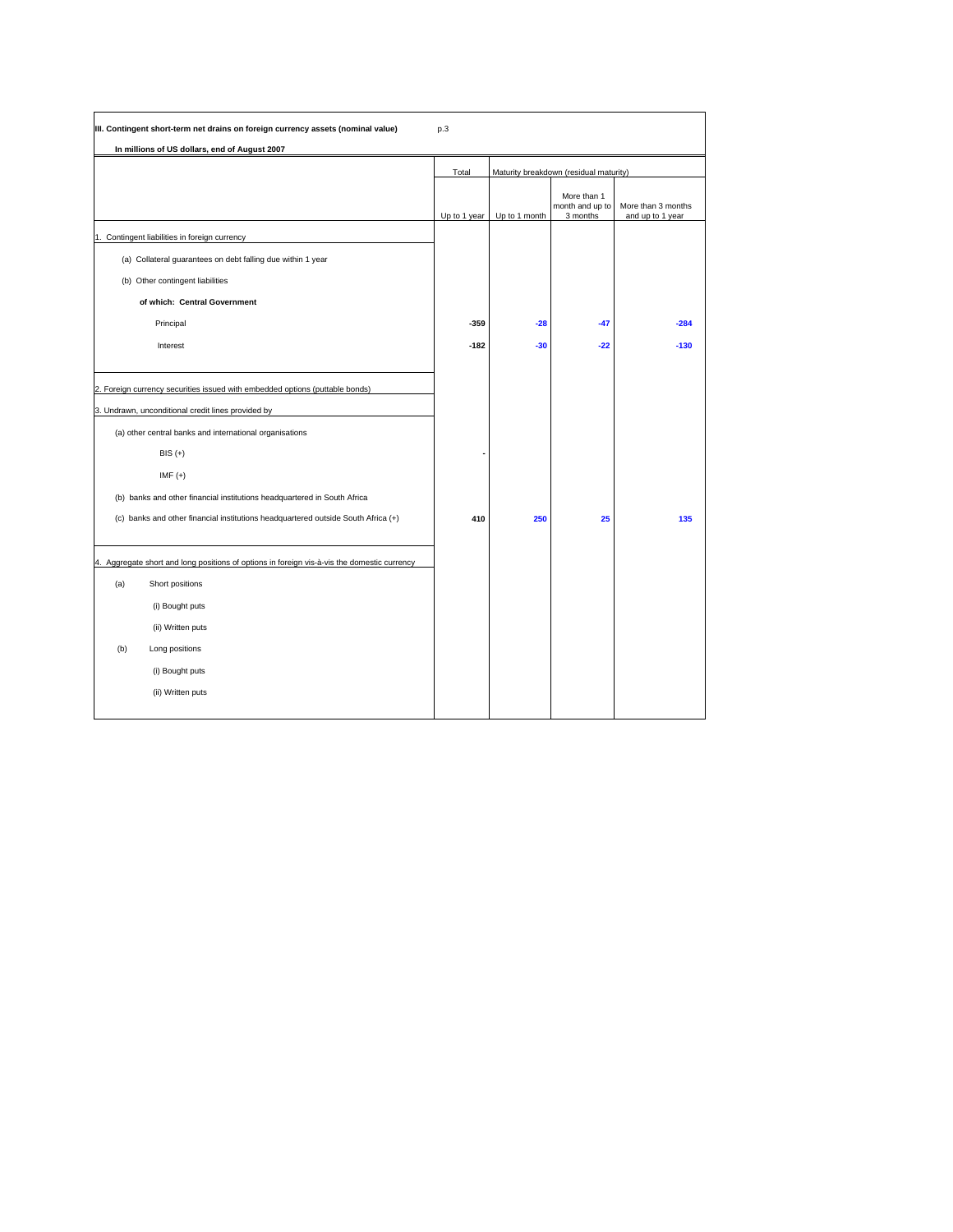| III. Contingent short-term net drains on foreign currency assets (nominal value)                                                   | p.3          |               |                                            |                                        |
|------------------------------------------------------------------------------------------------------------------------------------|--------------|---------------|--------------------------------------------|----------------------------------------|
| In millions of US dollars, end of August 2007                                                                                      |              |               |                                            |                                        |
|                                                                                                                                    | Total        |               | Maturity breakdown (residual maturity)     |                                        |
|                                                                                                                                    | Up to 1 year | Up to 1 month | More than 1<br>month and up to<br>3 months | More than 3 months<br>and up to 1 year |
| 1. Contingent liabilities in foreign currency                                                                                      |              |               |                                            |                                        |
| (a) Collateral guarantees on debt falling due within 1 year                                                                        |              |               |                                            |                                        |
| (b) Other contingent liabilities                                                                                                   |              |               |                                            |                                        |
| of which: Central Government                                                                                                       |              |               |                                            |                                        |
| Principal                                                                                                                          | $-359$       | $-28$         | $-47$                                      | $-284$                                 |
| Interest                                                                                                                           | $-182$       | $-30$         | $-22$                                      | $-130$                                 |
| 2. Foreign currency securities issued with embedded options (puttable bonds)<br>3. Undrawn, unconditional credit lines provided by |              |               |                                            |                                        |
| (a) other central banks and international organisations                                                                            |              |               |                                            |                                        |
| $BIS (+)$                                                                                                                          |              |               |                                            |                                        |
| $IMF (+)$                                                                                                                          |              |               |                                            |                                        |
| (b) banks and other financial institutions headquartered in South Africa                                                           |              |               |                                            |                                        |
| (c) banks and other financial institutions headquartered outside South Africa (+)                                                  | 410          | 250           | 25                                         | 135                                    |
| 4. Aggregate short and long positions of options in foreign vis-à-vis the domestic currency                                        |              |               |                                            |                                        |
| (a)<br>Short positions                                                                                                             |              |               |                                            |                                        |
| (i) Bought puts                                                                                                                    |              |               |                                            |                                        |
| (ii) Written puts                                                                                                                  |              |               |                                            |                                        |
| (b)<br>Long positions                                                                                                              |              |               |                                            |                                        |
| (i) Bought puts                                                                                                                    |              |               |                                            |                                        |
| (ii) Written puts                                                                                                                  |              |               |                                            |                                        |
|                                                                                                                                    |              |               |                                            |                                        |